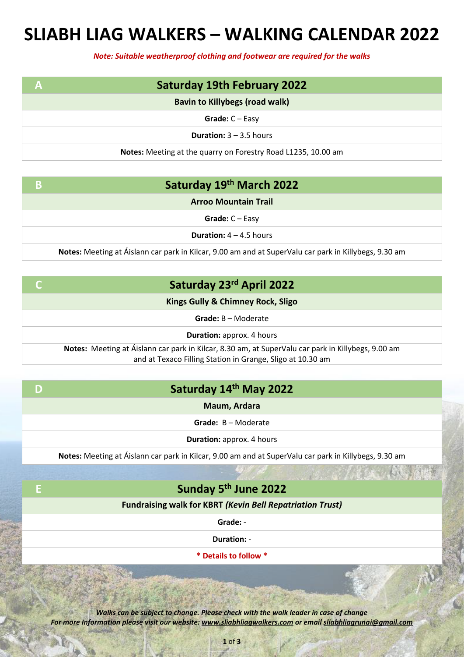## **SLIABH LIAG WALKERS – WALKING CALENDAR 2022**

*Note: Suitable weatherproof clothing and footwear are required for the walks*

| А | <b>Saturday 19th February 2022</b>                            |
|---|---------------------------------------------------------------|
|   | <b>Bavin to Killybegs (road walk)</b>                         |
|   | Grade: $C - Easy$                                             |
|   | <b>Duration:</b> $3 - 3.5$ hours                              |
|   | Notes: Meeting at the quarry on Forestry Road L1235, 10.00 am |

|  | Saturday 19th March 2022 |
|--|--------------------------|
|--|--------------------------|

**Arroo Mountain Trail**

**Grade:** C – Easy

**Duration:** 4 – 4.5 hours

**Notes:** Meeting at Áislann car park in Kilcar, 9.00 am and at SuperValu car park in Killybegs, 9.30 am

|  | Saturday 23rd April 2022 |
|--|--------------------------|
|--|--------------------------|

**Kings Gully & Chimney Rock, Sligo**

**Grade:** B – Moderate

**Duration:** approx. 4 hours

**Notes:** Meeting at Áislann car park in Kilcar, 8.30 am, at SuperValu car park in Killybegs, 9.00 am and at Texaco Filling Station in Grange, Sligo at 10.30 am

|  | Saturday 14th May 2022 |
|--|------------------------|
|--|------------------------|

**Maum, Ardara**

**Grade:** B – Moderate

**Duration:** approx. 4 hours

**Notes:** Meeting at Áislann car park in Kilcar, 9.00 am and at SuperValu car park in Killybegs, 9.30 am

## **E Sunday 5th June 2022**

**Fundraising walk for KBRT** *(Kevin Bell Repatriation Trust)*

**Grade:** -

**Duration:** -

**\* Details to follow \***

*Walks can be subject to change. Please check with the walk leader in case of change For more Information please visit our website: www.sliabhliagwalkers.com or email sliabhliagrunai@gmail.com*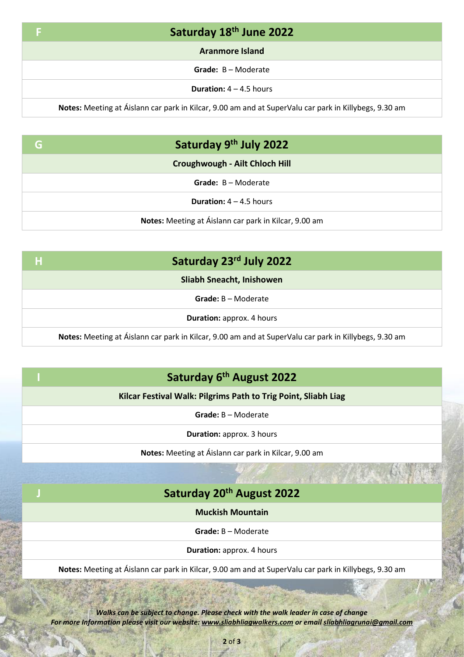| Saturday 18th June 2022                                                                               |
|-------------------------------------------------------------------------------------------------------|
| <b>Aranmore Island</b>                                                                                |
| Grade: B - Moderate                                                                                   |
| <b>Duration:</b> $4 - 4.5$ hours                                                                      |
| Notes: Meeting at Áislann car park in Kilcar, 9.00 am and at SuperValu car park in Killybegs, 9.30 am |

| G | Saturday 9th July 2022                                |
|---|-------------------------------------------------------|
|   | Croughwough - Ailt Chloch Hill                        |
|   | Grade: B - Moderate                                   |
|   | <b>Duration:</b> $4 - 4.5$ hours                      |
|   | Notes: Meeting at Áislann car park in Kilcar, 9.00 am |

| Ή | Saturday 23rd July 2022                                                                               |
|---|-------------------------------------------------------------------------------------------------------|
|   | <b>Sliabh Sneacht, Inishowen</b>                                                                      |
|   | $Grade: B - Modelrate$                                                                                |
|   | <b>Duration:</b> approx. 4 hours                                                                      |
|   | Notes: Meeting at Áislann car park in Kilcar, 9.00 am and at SuperValu car park in Killybegs, 9.30 am |

|  | Saturday 6 <sup>th</sup> August 2022 |  |
|--|--------------------------------------|--|
|--|--------------------------------------|--|

**Kilcar Festival Walk: Pilgrims Path to Trig Point, Sliabh Liag**

**Grade:** B – Moderate

**Duration:** approx. 3 hours

**Notes:** Meeting at Áislann car park in Kilcar, 9.00 am

## **J Saturday 20th August 2022**

**Muckish Mountain**

**Grade:** B – Moderate

**Duration:** approx. 4 hours

**Notes:** Meeting at Áislann car park in Kilcar, 9.00 am and at SuperValu car park in Killybegs, 9.30 am

*Walks can be subject to change. Please check with the walk leader in case of change For more Information please visit our website: www.sliabhliagwalkers.com or email sliabhliagrunai@gmail.com*